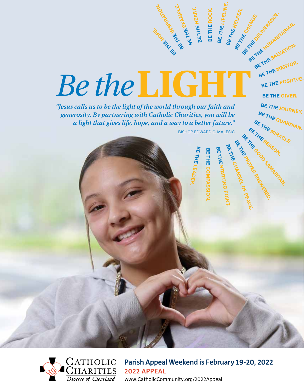



**Parish Appeal Weekend is February 19-20, 2022 2022 APPEAL** www.CatholicCommunity.org/2022Appeal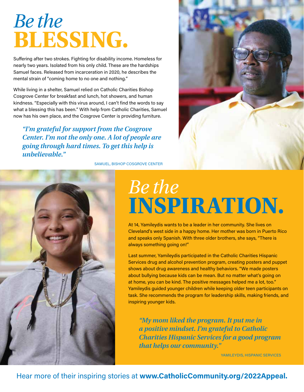## *Be the*  **BLESSING.**

Suffering after two strokes. Fighting for disability income. Homeless for nearly two years. Isolated from his only child. These are the hardships Samuel faces. Released from incarceration in 2020, he describes the mental strain of "coming home to no one and nothing."

While living in a shelter, Samuel relied on Catholic Charities Bishop Cosgrove Center for breakfast and lunch, hot showers, and human kindness. "Especially with this virus around, I can't find the words to say what a blessing this has been." With help from Catholic Charities, Samuel now has his own place, and the Cosgrove Center is providing furniture.

*"I'm grateful for support from the Cosgrove Center. I'm not the only one. A lot of people are going through hard times. To get this help is unbelievable."*

SAMUEL, BISHOP COSGROVE CENTER





## *Be the*  **INSPIRATION.**

At 14, Yamileydis wants to be a leader in her community. She lives on Cleveland's west side in a happy home. Her mother was born in Puerto Rico and speaks only Spanish. With three older brothers, she says, "There is always something going on!"

Last summer, Yamileydis participated in the Catholic Charities Hispanic Services drug and alcohol prevention program, creating posters and puppet shows about drug awareness and healthy behaviors. "We made posters about bullying because kids can be mean. But no matter what's going on at home, you can be kind. The positive messages helped me a lot, too." Yamileydis guided younger children while keeping older teen participants on task. She recommends the program for leadership skills, making friends, and inspiring younger kids.

*"My mom liked the program. It put me in a positive mindset. I'm grateful to Catholic Charities Hispanic Services for a good program that helps our community."* 

YAMILEYDIS, HISPANIC SERVICES

### Hear more of their inspiring stories at **www.CatholicCommunity.org/2022Appeal.**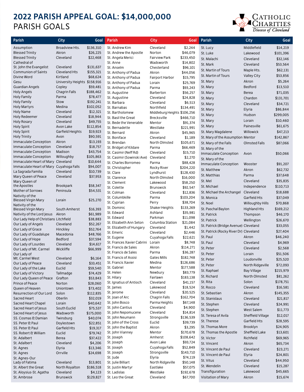### **2022 PARISH APPEAL GOAL: \$14,000,000** PARISH GOALS



| <b>Parish</b>                                                | City                         | Goal                 | Parish                     | City                         | Goal                  | Parish                                 | City                | Goal      |
|--------------------------------------------------------------|------------------------------|----------------------|----------------------------|------------------------------|-----------------------|----------------------------------------|---------------------|-----------|
| Assumption                                                   | Broadview Hts.               | \$136,310            | St. Andrew Kim             | Cleveland                    | \$2,244               | St. Lucy                               | Middlefield         | \$14,219  |
| <b>Blessed Trinity</b>                                       | Akron                        | \$26,225             | St. Andrew the Apostle     | Norton                       | \$46,079              | St. Luke                               | Lakewood            | \$101,396 |
| <b>Blessed Trinity</b>                                       | Cleveland                    | \$22,468             | St. Angela Merici          | <b>Fairview Park</b>         | \$233,450             | St. Malachi                            | Cleveland           | \$32,146  |
| Cathedral of                                                 |                              |                      | St. Anne                   | Wadsworth                    | \$14,802              | St. Mark                               | Cleveland           | \$53,564  |
| St. John the Evangelist                                      | Cleveland                    | \$131,637            | St. Anselm                 | Chesterland                  | \$96,101              |                                        |                     |           |
| <b>Communion of Saints</b>                                   | Cleveland Hts                | \$155,321            | St. Anthony of Padua       | Akron                        | \$44,056              | St. Martin of Tours                    | Maple Hts.          | \$62,131  |
| Divine Word                                                  | Kirtland                     | \$68,624             | St. Anthony of Padua       | Fairport Harbor              | \$15,795              | St. Martin of Tours                    | <b>Valley City</b>  | \$53,856  |
| Gesu                                                         | University Heights \$158,916 |                      | St. Anthony of Padua       | Lorain                       | \$25,769              | St. Mary                               | Akron               | \$5,264   |
| Guardian Angels                                              | Copley                       | \$59,481             | St. Anthony of Padua       | Parma                        | \$93,243              | St. Mary                               | Bedford             | \$13,510  |
| <b>Holy Angels</b>                                           | Chagrin Falls                | \$188,462            | St. Augustine              | Barberton                    | \$56,257              | St. Mary                               | <b>Berea</b>        | \$71,035  |
| Holy Family                                                  | Parma                        | \$78,477             | St. Augustine              | Cleveland                    | \$24,828              | St. Mary                               | Chardon             | \$131,701 |
| <b>Holy Family</b>                                           | Stow                         | \$192,241            | St. Barbara                | Cleveland                    | \$6,513               | St. Mary                               | Cleveland           | \$34,721  |
| <b>Holy Martyrs</b>                                          | Medina                       | \$102,052            | St. Barnabas               | Northfield                   | \$134,491             | St. Mary                               | Elyria              | \$86,844  |
| <b>Holy Name</b>                                             | Cleveland                    | \$12,321             | St. Bartholomew            | Middleburg Heights \$106,256 |                       | St. Mary                               | Hudson              | \$299,005 |
| Holy Redeemer                                                | Cleveland                    | \$18,944             | St. Basil the Great        | Brecksville                  | \$466,710             | St. Mary                               | Lorain              | \$10,460  |
| <b>Holy Rosary</b>                                           | Cleveland                    | \$49,755             | St. Bede the Venerable     | Mentor                       | \$91,374              |                                        | Painesville         | \$61,675  |
| <b>Holy Spirit</b>                                           | Avon Lake                    | \$112,854            | St. Bernadette             | Westlake                     | \$221,991             | St. Mary                               |                     |           |
| <b>Holy Spirit</b>                                           | Garfield Heights             | \$19,923             | St. Bernard                | Akron                        | \$45,965              | St. Mary Magdalene                     | Willowick           | \$47,213  |
| <b>Holy Trinity</b>                                          | Avon<br>Akron                | \$90,591<br>\$13,193 | St. Boniface               | Cleveland                    | \$1,189               | St. Mary of the Assumption Mentor      |                     | \$142,867 |
| <b>Immaculate Conception</b>                                 | Cleveland                    | \$18,757             | St. Brendan                | North Olmsted                | \$105,671             | St. Mary of the Falls                  | Olmsted Falls       | \$87,066  |
| Immaculate Conception                                        | Madison                      | \$43,754             | St. Bridget of Kildare     | Parma                        | \$66,469              | St. Mary of the                        |                     |           |
| <b>Immaculate Conception</b><br><b>Immaculate Conception</b> |                              | \$105,863            | St. Casimir (Neff Rd)      | Cleveland                    | \$15,710              | <b>Immaculate Conception</b>           | Avon                | \$50,066  |
| Immaculate Heart of Mary Cleveland                           | Willoughby                   | \$10,644             | St. Casimir (Sowinski Ave) | Cleveland                    | \$2,270               | St. Mary of the                        |                     |           |
| Immaculate Heart of Mary Cuyahoga Falls                      |                              | \$94,007             | St. Charles Borromeo       | Parma                        | \$88,428              | <b>Immaculate Conception</b>           | Wooster             | \$91,207  |
| La Sagrada Familia                                           | Cleveland                    | \$10,739             | St. Christopher            | Rocky River                  | \$204,220             | St. Matthew                            | Akron               | \$62,732  |
| Mary Queen of Peace                                          | Cleveland                    | \$37,953             | St. Clare                  | Lyndhurst                    | \$128,430             | St. Matthias                           | Parma               | \$37,648  |
| Mary Queen of                                                |                              |                      | St. Clarence               | North Olmsted                | \$16,000              | St. Mel                                | Cleveland           | \$35,835  |
| the Apostles                                                 | Brookpark                    | \$58,347             | St. Clement                | Lakewood                     | \$58,250              | St. Michael                            | Independence        | \$110,713 |
| Mother of Sorrows                                            | Peninsula                    | \$54,531             | St. Colette<br>St. Colman  | <b>Brunswick</b>             | \$92,547              | St. Michael the Archangel              | Cleveland           | \$18,688  |
| Nativity of the                                              |                              |                      |                            | Cleveland                    | \$12,836              |                                        |                     |           |
| <b>Blessed Virgin Mary</b>                                   | Lorain                       | \$25,270             | St. Columbkille            | Parma                        | \$103,204             | St. Monica                             | Garfield Hts        | \$37,049  |
| Nativity of the                                              |                              |                      | St. Cyprian<br>St. Dominic | Perry                        | \$38,704              | St. Noel                               | Willoughby Hills    | \$70,868  |
| <b>Blessed Virgin Mary</b>                                   | South Amherst                | \$16,393             | St. Edward                 | Shaker Heights<br>Ashland    | \$133,269<br>\$35,981 | St. Paschal Baylon                     | <b>Highland Hts</b> | \$169,212 |
| Nativity of the Lord Jesus                                   | Akron                        | \$61,989             | St. Edward                 | Parkman                      | \$11,098              | St. Patrick                            | Thompson            | \$46,170  |
| Our Lady Help of Christians Litchfield                       |                              | \$38,883             | St. Elizabeth Ann Seton    | Columbia Station             | \$21,084              | St. Patrick                            | Wellington          | \$26,670  |
| Our Lady of Angels                                           | Cleveland                    | \$52,267             | St. Elizabeth of Hungary   | Cleveland                    | \$1,442               | St. Patrick (Bridge Avenue) Cleveland  |                     | \$33,055  |
| Our Lady of Grace                                            | Hinckley                     | \$52,764             | St. Emeric                 | Cleveland                    | \$2,446               | St. Patrick (Rocky River Dr) Cleveland |                     | \$27,404  |
| Our Lady of Guadalupe                                        | Macedonia                    | \$48,766             | St. Eugene                 | Cuyahoga Falls               | \$22,621              | St. Paul                               | Akron               | \$46,240  |
| Our Lady of Hope                                             | Bedford                      | \$37,594             | St. Frances Xavier Cabrini | Lorain                       | \$8,748               | St. Paul                               | Cleveland           | \$4,969   |
| Our Lady of Lourdes                                          | Cleveland                    | \$14,617             | St. Francis de Sales       | Akron                        | \$114,271             | St. Peter                              | Cleveland           | \$2,568   |
| Our Lady of Mt. Carmel                                       | Wickliffe                    | \$66,999             | St. Francis de Sales       | Parma                        | \$36,287              |                                        |                     |           |
| Our Lady of<br>Mt. Carmel West                               | Cleveland                    | \$6,164              | St. Francis of Assisi      | Gates Mills                  | \$182,748             | St. Peter                              | Lorain              | \$51,506  |
| Our Lady of Peace                                            | Cleveland                    | \$33,451             | St. Francis Xavier         | Medina                       | \$126,686             | St. Peter                              | Loudonville         | \$25,520  |
| Our Lady of the Lake                                         | Euclid                       | \$59,540             | St. Gabriel                | Mentor                       | \$177,588             | St. Peter                              | North Ridgeville    | \$72,093  |
| Our Lady of Victory                                          | Tallmadge                    | \$74,429             | St. Helen                  | Newbury                      | \$83,779              | St. Raphael                            | <b>Bay Village</b>  | \$215,979 |
| Our Lady Queen of Peace                                      | Grafton                      | \$53,843             | St. Hilary                 | Fairlawn                     | \$183,138             | St. Richard                            | North Olmsted       | \$81,262  |
| Prince of Peace                                              | Norton                       | \$28,060             | St. Ignatius of Antioch    | Cleveland                    | \$41,157              | St. Rita                               | Solon               | \$178,751 |
| Queen of Heaven                                              | Uniontown                    | \$73,402             | St. James                  | Lakewood                     | \$18,524              | St. Rocco                              | Cleveland           | \$16,581  |
| Resurrection of Our Lord                                     | Solon                        | \$112,835            | St. Jerome                 | Cleveland                    | \$20,525              | St. Sebastian                          | Akron               | \$145,355 |
| Sacred Heart                                                 | Oberlin                      | \$32,019             | St. Joan of Arc            | Chagrin Falls                | \$162,704             | St. Stanislaus                         | Cleveland           | \$21,817  |
| Sacred Heart Chapel                                          | Lorain                       | \$40,642             | St. John Bosco             | Parma Heights                | \$67,148              | St. Stephen                            | Cleveland           | \$24,991  |
| Sacred Heart of Jesus                                        | South Euclid                 | \$75,537             | St. John Cantius           | Cleveland                    | \$4,900               |                                        | <b>West Salem</b>   | \$11,773  |
| Sacred Heart of Jesus                                        | Wadsworth                    | \$175,000            | St. John Nepomucene        | Cleveland                    | \$14,814              | St. Stephen                            |                     |           |
| SS. Cosmas & Damian                                          | Twinsburg                    | \$40,074             | St. John Neumann           | Strongsville                 | \$136,539             | St. Teresa of Avila                    | Sheffield Village   | \$12,017  |
| SS. Peter & Paul                                             | Doylestown                   | \$22,851             | St. John of the Cross      | Euclid                       | \$39,739              | St. Therese                            | Garfield Hts        | \$28,595  |
| SS. Peter & Paul                                             | Garfield Hts                 | \$19,317             | St. John the Baptist       | Akron                        | \$3,295               | St. Thomas More                        | Brooklyn            | \$24,905  |
| SS. Robert & William                                         | Euclid                       | \$79,742             | St. John Vianney           | Mentor                       | \$170,678             | St. Thomas the Apostle                 | Sheffield Lake      | \$13,601  |
| St. Adalbert                                                 | <b>Berea</b>                 | \$37,422             | St. Joseph                 | Amherst                      | \$108,642             | St. Victor                             | Richfield           | \$69,965  |
| St. Adalbert                                                 | Cleveland                    | \$4,206              | St. Joseph                 | Avon Lake                    | \$93,724              | St. Vincent                            | Akron               | \$65,734  |
| St. Agnes                                                    | Elyria                       | \$13,346             | St. Joseph                 | Cuyahoga Falls               | \$52,849              | St. Vincent de Paul                    | Cleveland           | \$23,271  |
| St. Agnes                                                    | Orrville                     | \$24,698             | St. Joseph                 | Strongsville                 | \$143,710             | St. Vincent de Paul                    | Elyria              | \$24,801  |
| St. Agnes-Our                                                |                              |                      | St. Jude                   | Elyria                       | \$74,119              | St. Vitus                              | Cleveland           | \$44,950  |
| Lady of Fatima                                               | Cleveland                    | \$13,801             | St. Julie Billiart         | North Ridgeville             | \$50,148              | St. Wendelin                           | Cleveland           | \$15,287  |
| St. Albert the Great                                         | North Royalton               | \$186,518            | St. Justin Martyr          | Eastlake                     | \$57,075              |                                        |                     |           |
| St. Aloysius-St. Agatha                                      | Cleveland                    | \$4,123              | St. Ladislas               | Westlake                     | \$192,678             | Transfiguration                        | Lakewood            | \$45,665  |
| St. Ambrose                                                  | <b>Brunswick</b>             | \$129,827            | St. Leo the Great          | Cleveland                    | \$67,700              | Visitation of Mary                     | Akron               | \$15,674  |